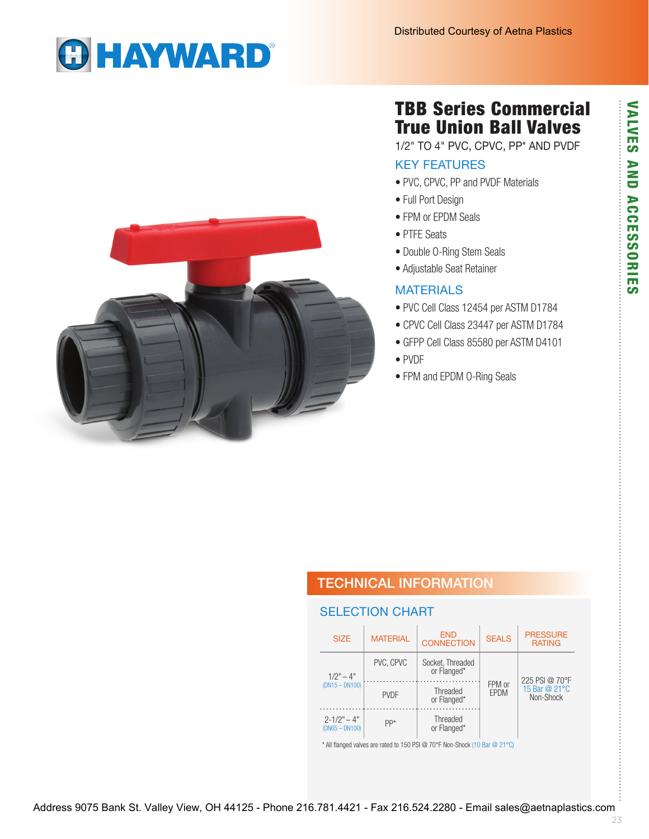# **GHAYWARD®**

# TBB Series Commercial True Union Ball Valves

1/2" TO 4" PVC, CPVC, PP\* AND PVDF

#### KEY FEATURES

- PVC, CPVC, PP and PVDF Materials
- Full Port Design
- FPM or EPDM Seals
- PTFE Seats
- Double O-Ring Stem Seals
- Adjustable Seat Retainer

#### **MATERIALS**

- PVC Cell Class 12454 per ASTM D1784
- CPVC Cell Class 23447 per ASTM D1784
- GFPP Cell Class 85580 per ASTM D4101
- PVDF
- FPM and EPDM O-Ring Seals



## TECHNICAL INFORMATION

#### SELECTION CHART

|                                                                            | <b>SIZE</b>                         | <b>MATERIAL</b>                        | <b>END</b><br><b>CONNECTION</b> | <b>SEALS</b>   | <b>PRESSURE</b><br><b>RATING</b> |  |  |  |  |
|----------------------------------------------------------------------------|-------------------------------------|----------------------------------------|---------------------------------|----------------|----------------------------------|--|--|--|--|
|                                                                            | $1/2" - 4"$<br>$(DN15 - DN100)$     | PVC, CPVC                              | Socket, Threaded<br>or Flanged* |                | 225 PSI @ 70°F                   |  |  |  |  |
|                                                                            |                                     | Threaded<br><b>PVDF</b><br>or Flanged* |                                 | FPM or<br>EPDM | 15 Bar @ 21°C<br>Non-Shock       |  |  |  |  |
|                                                                            | $2 - 1/2" - 4"$<br>$(DN65 - DN100)$ | PP*                                    | Threaded<br>or Flanged*         |                |                                  |  |  |  |  |
| * All flanged valves are rated to 150 PSI @ 70°F Non-Shock (10 Bar @ 21°C) |                                     |                                        |                                 |                |                                  |  |  |  |  |